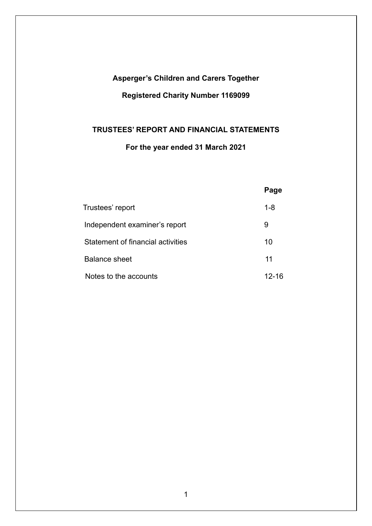# **Asperger's Children and Carers Together Registered Charity Number 1169099**

# **TRUSTEES' REPORT AND FINANCIAL STATEMENTS**

# **For the year ended 31 March 2021**

|                                   | Page    |
|-----------------------------------|---------|
| Trustees' report                  | $1 - 8$ |
| Independent examiner's report     | 9       |
| Statement of financial activities | 10      |
| <b>Balance sheet</b>              | 11      |
| Notes to the accounts             | 12-16   |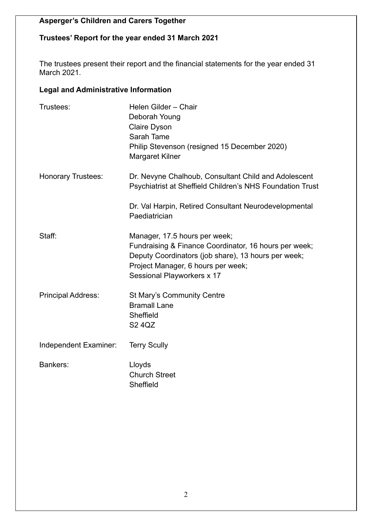# **Trustees' Report for the year ended 31 March 2021**

The trustees present their report and the financial statements for the year ended 31 March 2021.

# **Legal and Administrative Information**

| Trustees:                 | Helen Gilder - Chair<br>Deborah Young<br><b>Claire Dyson</b><br>Sarah Tame<br>Philip Stevenson (resigned 15 December 2020)<br><b>Margaret Kilner</b>                                                              |
|---------------------------|-------------------------------------------------------------------------------------------------------------------------------------------------------------------------------------------------------------------|
| <b>Honorary Trustees:</b> | Dr. Nevyne Chalhoub, Consultant Child and Adolescent<br>Psychiatrist at Sheffield Children's NHS Foundation Trust                                                                                                 |
|                           | Dr. Val Harpin, Retired Consultant Neurodevelopmental<br>Paediatrician                                                                                                                                            |
| Staff:                    | Manager, 17.5 hours per week;<br>Fundraising & Finance Coordinator, 16 hours per week;<br>Deputy Coordinators (job share), 13 hours per week;<br>Project Manager, 6 hours per week;<br>Sessional Playworkers x 17 |
| <b>Principal Address:</b> | <b>St Mary's Community Centre</b><br><b>Bramall Lane</b><br>Sheffield<br><b>S2 4QZ</b>                                                                                                                            |
| Independent Examiner:     | <b>Terry Scully</b>                                                                                                                                                                                               |
| <b>Bankers:</b>           | Lloyds<br><b>Church Street</b><br>Sheffield                                                                                                                                                                       |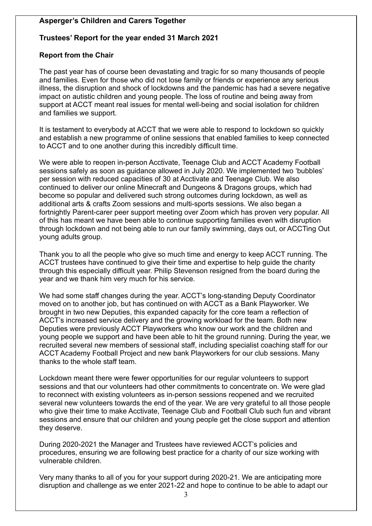# **Trustees' Report for the year ended 31 March 2021**

#### **Report from the Chair**

The past year has of course been devastating and tragic for so many thousands of people and families. Even for those who did not lose family or friends or experience any serious illness, the disruption and shock of lockdowns and the pandemic has had a severe negative impact on autistic children and young people. The loss of routine and being away from support at ACCT meant real issues for mental well-being and social isolation for children and families we support.

It is testament to everybody at ACCT that we were able to respond to lockdown so quickly and establish a new programme of online sessions that enabled families to keep connected to ACCT and to one another during this incredibly difficult time.

We were able to reopen in-person Acctivate, Teenage Club and ACCT Academy Football sessions safely as soon as guidance allowed in July 2020. We implemented two 'bubbles' per session with reduced capacities of 30 at Acctivate and Teenage Club. We also continued to deliver our online Minecraft and Dungeons & Dragons groups, which had become so popular and delivered such strong outcomes during lockdown, as well as additional arts & crafts Zoom sessions and multi-sports sessions. We also began a fortnightly Parent-carer peer support meeting over Zoom which has proven very popular. All of this has meant we have been able to continue supporting families even with disruption through lockdown and not being able to run our family swimming, days out, or ACCTing Out young adults group.

Thank you to all the people who give so much time and energy to keep ACCT running. The ACCT trustees have continued to give their time and expertise to help guide the charity through this especially difficult year. Philip Stevenson resigned from the board during the year and we thank him very much for his service.

We had some staff changes during the year. ACCT's long-standing Deputy Coordinator moved on to another job, but has continued on with ACCT as a Bank Playworker. We brought in two new Deputies, this expanded capacity for the core team a reflection of ACCT's increased service delivery and the growing workload for the team. Both new Deputies were previously ACCT Playworkers who know our work and the children and young people we support and have been able to hit the ground running. During the year, we recruited several new members of sessional staff, including specialist coaching staff for our ACCT Academy Football Project and new bank Playworkers for our club sessions. Many thanks to the whole staff team.

Lockdown meant there were fewer opportunities for our regular volunteers to support sessions and that our volunteers had other commitments to concentrate on. We were glad to reconnect with existing volunteers as in-person sessions reopened and we recruited several new volunteers towards the end of the year. We are very grateful to all those people who give their time to make Acctivate, Teenage Club and Football Club such fun and vibrant sessions and ensure that our children and young people get the close support and attention they deserve.

During 2020-2021 the Manager and Trustees have reviewed ACCT's policies and procedures, ensuring we are following best practice for a charity of our size working with vulnerable children.

Very many thanks to all of you for your support during 2020-21. We are anticipating more disruption and challenge as we enter 2021-22 and hope to continue to be able to adapt our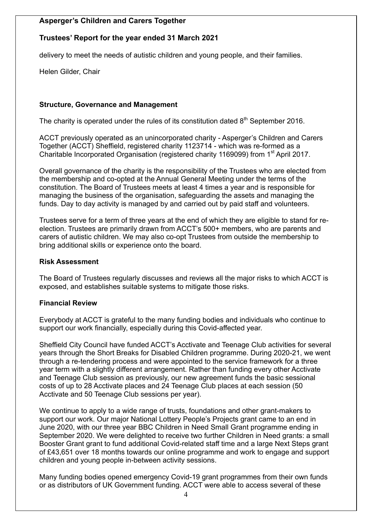# **Trustees' Report for the year ended 31 March 2021**

delivery to meet the needs of autistic children and young people, and their families.

Helen Gilder, Chair

#### **Structure, Governance and Management**

The charity is operated under the rules of its constitution dated  $8<sup>th</sup>$  September 2016.

ACCT previously operated as an unincorporated charity - Asperger's Children and Carers Together (ACCT) Sheffield, registered charity 1123714 - which was re-formed as a Charitable Incorporated Organisation (registered charity 1169099) from 1<sup>st</sup> April 2017.

Overall governance of the charity is the responsibility of the Trustees who are elected from the membership and co-opted at the Annual General Meeting under the terms of the constitution. The Board of Trustees meets at least 4 times a year and is responsible for managing the business of the organisation, safeguarding the assets and managing the funds. Day to day activity is managed by and carried out by paid staff and volunteers.

Trustees serve for a term of three years at the end of which they are eligible to stand for reelection. Trustees are primarily drawn from ACCT's 500+ members, who are parents and carers of autistic children. We may also co-opt Trustees from outside the membership to bring additional skills or experience onto the board.

#### **Risk Assessment**

The Board of Trustees regularly discusses and reviews all the major risks to which ACCT is exposed, and establishes suitable systems to mitigate those risks.

#### **Financial Review**

Everybody at ACCT is grateful to the many funding bodies and individuals who continue to support our work financially, especially during this Covid-affected year.

Sheffield City Council have funded ACCT's Acctivate and Teenage Club activities for several years through the Short Breaks for Disabled Children programme. During 2020-21, we went through a re-tendering process and were appointed to the service framework for a three year term with a slightly different arrangement. Rather than funding every other Acctivate and Teenage Club session as previously, our new agreement funds the basic sessional costs of up to 28 Acctivate places and 24 Teenage Club places at each session (50 Acctivate and 50 Teenage Club sessions per year).

We continue to apply to a wide range of trusts, foundations and other grant-makers to support our work. Our major National Lottery People's Projects grant came to an end in June 2020, with our three year BBC Children in Need Small Grant programme ending in September 2020. We were delighted to receive two further Children in Need grants: a small Booster Grant grant to fund additional Covid-related staff time and a large Next Steps grant of £43,651 over 18 months towards our online programme and work to engage and support children and young people in-between activity sessions.

Many funding bodies opened emergency Covid-19 grant programmes from their own funds or as distributors of UK Government funding. ACCT were able to access several of these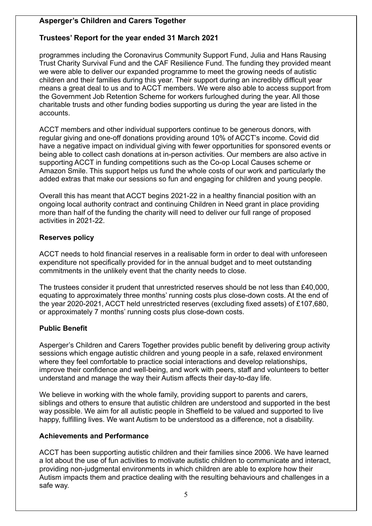# **Trustees' Report for the year ended 31 March 2021**

programmes including the Coronavirus Community Support Fund, Julia and Hans Rausing Trust Charity Survival Fund and the CAF Resilience Fund. The funding they provided meant we were able to deliver our expanded programme to meet the growing needs of autistic children and their families during this year. Their support during an incredibly difficult year means a great deal to us and to ACCT members. We were also able to access support from the Government Job Retention Scheme for workers furloughed during the year. All those charitable trusts and other funding bodies supporting us during the year are listed in the accounts.

ACCT members and other individual supporters continue to be generous donors, with regular giving and one-off donations providing around 10% of ACCT's income. Covid did have a negative impact on individual giving with fewer opportunities for sponsored events or being able to collect cash donations at in-person activities. Our members are also active in supporting ACCT in funding competitions such as the Co-op Local Causes scheme or Amazon Smile. This support helps us fund the whole costs of our work and particularly the added extras that make our sessions so fun and engaging for children and young people.

Overall this has meant that ACCT begins 2021-22 in a healthy financial position with an ongoing local authority contract and continuing Children in Need grant in place providing more than half of the funding the charity will need to deliver our full range of proposed activities in 2021-22.

# **Reserves policy**

ACCT needs to hold financial reserves in a realisable form in order to deal with unforeseen expenditure not specifically provided for in the annual budget and to meet outstanding commitments in the unlikely event that the charity needs to close.

The trustees consider it prudent that unrestricted reserves should be not less than £40,000, equating to approximately three months' running costs plus close-down costs. At the end of the year 2020-2021, ACCT held unrestricted reserves (excluding fixed assets) of £107,680, or approximately 7 months' running costs plus close-down costs.

# **Public Benefit**

Asperger's Children and Carers Together provides public benefit by delivering group activity sessions which engage autistic children and young people in a safe, relaxed environment where they feel comfortable to practice social interactions and develop relationships, improve their confidence and well-being, and work with peers, staff and volunteers to better understand and manage the way their Autism affects their day-to-day life.

We believe in working with the whole family, providing support to parents and carers, siblings and others to ensure that autistic children are understood and supported in the best way possible. We aim for all autistic people in Sheffield to be valued and supported to live happy, fulfilling lives. We want Autism to be understood as a difference, not a disability.

# **Achievements and Performance**

ACCT has been supporting autistic children and their families since 2006. We have learned a lot about the use of fun activities to motivate autistic children to communicate and interact, providing non-judgmental environments in which children are able to explore how their Autism impacts them and practice dealing with the resulting behaviours and challenges in a safe way.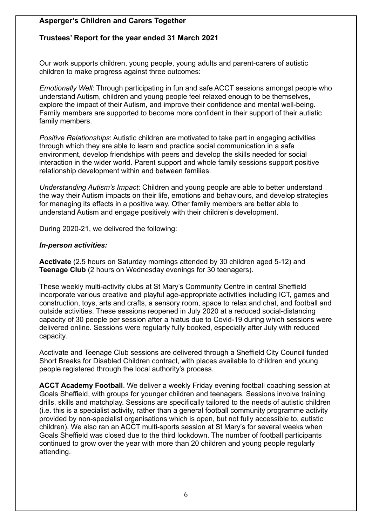# **Trustees' Report for the year ended 31 March 2021**

Our work supports children, young people, young adults and parent-carers of autistic children to make progress against three outcomes:

*Emotionally Well*: Through participating in fun and safe ACCT sessions amongst people who understand Autism, children and young people feel relaxed enough to be themselves, explore the impact of their Autism, and improve their confidence and mental well-being. Family members are supported to become more confident in their support of their autistic family members.

*Positive Relationships*: Autistic children are motivated to take part in engaging activities through which they are able to learn and practice social communication in a safe environment, develop friendships with peers and develop the skills needed for social interaction in the wider world. Parent support and whole family sessions support positive relationship development within and between families.

*Understanding Autism's Impact*: Children and young people are able to better understand the way their Autism impacts on their life, emotions and behaviours, and develop strategies for managing its effects in a positive way. Other family members are better able to understand Autism and engage positively with their children's development.

During 2020-21, we delivered the following:

#### *In-person activities:*

**Acctivate** (2.5 hours on Saturday mornings attended by 30 children aged 5-12) and **Teenage Club** (2 hours on Wednesday evenings for 30 teenagers).

These weekly multi-activity clubs at St Mary's Community Centre in central Sheffield incorporate various creative and playful age-appropriate activities including ICT, games and construction, toys, arts and crafts, a sensory room, space to relax and chat, and football and outside activities. These sessions reopened in July 2020 at a reduced social-distancing capacity of 30 people per session after a hiatus due to Covid-19 during which sessions were delivered online. Sessions were regularly fully booked, especially after July with reduced capacity.

Acctivate and Teenage Club sessions are delivered through a Sheffield City Council funded Short Breaks for Disabled Children contract, with places available to children and young people registered through the local authority's process.

**ACCT Academy Football**. We deliver a weekly Friday evening football coaching session at Goals Sheffield, with groups for younger children and teenagers. Sessions involve training drills, skills and matchplay. Sessions are specifically tailored to the needs of autistic children (i.e. this is a specialist activity, rather than a general football community programme activity provided by non-specialist organisations which is open, but not fully accessible to, autistic children). We also ran an ACCT multi-sports session at St Mary's for several weeks when Goals Sheffield was closed due to the third lockdown. The number of football participants continued to grow over the year with more than 20 children and young people regularly attending.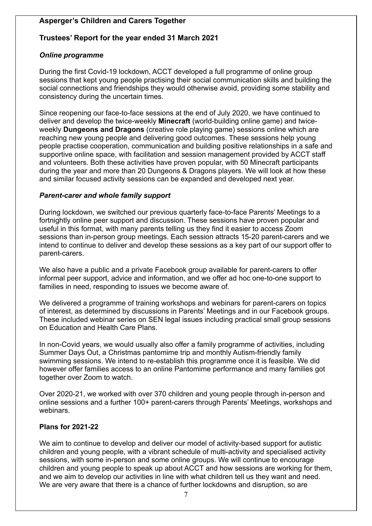# **Trustees' Report for the year ended 31 March 2021**

### *Online programme*

During the first Covid-19 lockdown, ACCT developed a full programme of online group sessions that kept young people practising their social communication skills and building the social connections and friendships they would otherwise avoid, providing some stability and consistency during the uncertain times.

Since reopening our face-to-face sessions at the end of July 2020, we have continued to deliver and develop the twice-weekly **Minecraft** (world-building online game) and twiceweekly **Dungeons and Dragons** (creative role playing game) sessions online which are reaching new young people and delivering good outcomes. These sessions help young people practise cooperation, communication and building positive relationships in a safe and supportive online space, with facilitation and session management provided by ACCT staff and volunteers. Both these activities have proven popular, with 50 Minecraft participants during the year and more than 20 Dungeons & Dragons players. We will look at how these and similar focused activity sessions can be expanded and developed next year.

#### *Parent-carer and whole family support*

During lockdown, we switched our previous quarterly face-to-face Parents' Meetings to a fortnightly online peer support and discussion. These sessions have proven popular and useful in this format, with many parents telling us they find it easier to access Zoom sessions than in-person group meetings. Each session attracts 15-20 parent-carers and we intend to continue to deliver and develop these sessions as a key part of our support offer to parent-carers.

We also have a public and a private Facebook group available for parent-carers to offer informal peer support, advice and information, and we offer ad hoc one-to-one support to families in need, responding to issues we become aware of.

We delivered a programme of training workshops and webinars for parent-carers on topics of interest, as determined by discussions in Parents' Meetings and in our Facebook groups. These included webinar series on SEN legal issues including practical small group sessions on Education and Health Care Plans.

In non-Covid years, we would usually also offer a family programme of activities, including Summer Days Out, a Christmas pantomime trip and monthly Autism-friendly family swimming sessions. We intend to re-establish this programme once it is feasible. We did however offer families access to an online Pantomime performance and many families got together over Zoom to watch.

Over 2020-21, we worked with over 370 children and young people through in-person and online sessions and a further 100+ parent-carers through Parents' Meetings, workshops and webinars.

# **Plans for 2021-22**

We aim to continue to develop and deliver our model of activity-based support for autistic children and young people, with a vibrant schedule of multi-activity and specialised activity sessions, with some in-person and some online groups. We will continue to encourage children and young people to speak up about ACCT and how sessions are working for them, and we aim to develop our activities in line with what children tell us they want and need. We are very aware that there is a chance of further lockdowns and disruption, so are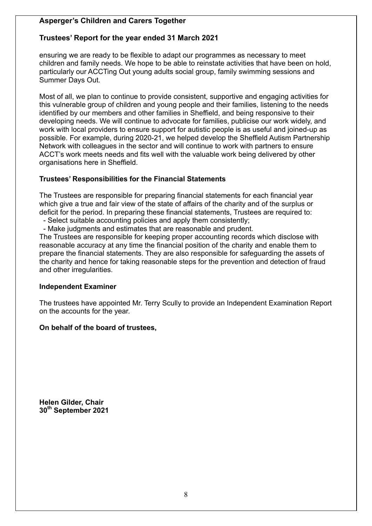# **Trustees' Report for the year ended 31 March 2021**

ensuring we are ready to be flexible to adapt our programmes as necessary to meet children and family needs. We hope to be able to reinstate activities that have been on hold, particularly our ACCTing Out young adults social group, family swimming sessions and Summer Days Out.

Most of all, we plan to continue to provide consistent, supportive and engaging activities for this vulnerable group of children and young people and their families, listening to the needs identified by our members and other families in Sheffield, and being responsive to their developing needs. We will continue to advocate for families, publicise our work widely, and work with local providers to ensure support for autistic people is as useful and joined-up as possible. For example, during 2020-21, we helped develop the Sheffield Autism Partnership Network with colleagues in the sector and will continue to work with partners to ensure ACCT's work meets needs and fits well with the valuable work being delivered by other organisations here in Sheffield.

#### **Trustees' Responsibilities for the Financial Statements**

The Trustees are responsible for preparing financial statements for each financial year which give a true and fair view of the state of affairs of the charity and of the surplus or deficit for the period. In preparing these financial statements, Trustees are required to:

- Select suitable accounting policies and apply them consistently;

- Make judgments and estimates that are reasonable and prudent.

The Trustees are responsible for keeping proper accounting records which disclose with reasonable accuracy at any time the financial position of the charity and enable them to prepare the financial statements. They are also responsible for safeguarding the assets of the charity and hence for taking reasonable steps for the prevention and detection of fraud and other irregularities.

#### **Independent Examiner**

The trustees have appointed Mr. Terry Scully to provide an Independent Examination Report on the accounts for the year.

#### **On behalf of the board of trustees,**

**Helen Gilder, Chair 30th September 2021**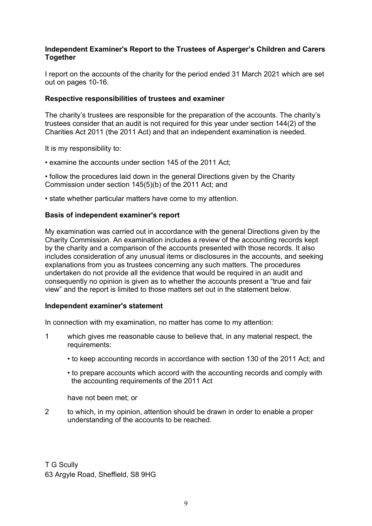#### **Independent Examiner's Report to the Trustees of Asperger's Children and Carers Together**

I report on the accounts of the charity for the period ended 31 March 2021 which are set out on pages 10-16.

#### **Respective responsibilities of trustees and examiner**

The charity's trustees are responsible for the preparation of the accounts. The charity's trustees consider that an audit is not required for this year under section 144(2) of the Charities Act 2011 (the 2011 Act) and that an independent examination is needed.

It is my responsibility to:

• examine the accounts under section 145 of the 2011 Act;

• follow the procedures laid down in the general Directions given by the Charity Commission under section 145(5)(b) of the 2011 Act; and

• state whether particular matters have come to my attention.

#### **Basis of independent examiner's report**

My examination was carried out in accordance with the general Directions given by the Charity Commission. An examination includes a review of the accounting records kept by the charity and a comparison of the accounts presented with those records. It also includes consideration of any unusual items or disclosures in the accounts, and seeking explanations from you as trustees concerning any such matters. The procedures undertaken do not provide all the evidence that would be required in an audit and consequently no opinion is given as to whether the accounts present a "true and fair view" and the report is limited to those matters set out in the statement below.

#### **Independent examiner's statement**

In connection with my examination, no matter has come to my attention:

- 1 which gives me reasonable cause to believe that, in any material respect, the requirements:
	- to keep accounting records in accordance with section 130 of the 2011 Act; and
	- to prepare accounts which accord with the accounting records and comply with the accounting requirements of the 2011 Act

have not been met; or

2 to which, in my opinion, attention should be drawn in order to enable a proper understanding of the accounts to be reached.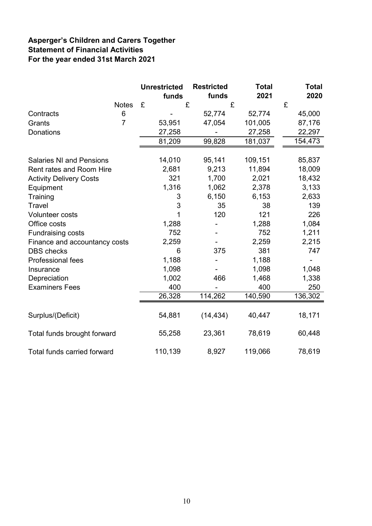# **Asperger's Children and Carers Together Statement of Financial Activities For the year ended 31st March 2021**

|                                    |                | <b>Unrestricted</b><br>funds | <b>Restricted</b><br>funds | <b>Total</b><br>2021 | <b>Total</b><br>2020 |
|------------------------------------|----------------|------------------------------|----------------------------|----------------------|----------------------|
|                                    | <b>Notes</b>   | £                            | £                          | £                    | £                    |
| Contracts                          | 6              |                              | 52,774                     | 52,774               | 45,000               |
| Grants                             | $\overline{7}$ | 53,951                       | 47,054                     | 101,005              | 87,176               |
| <b>Donations</b>                   |                | 27,258                       |                            | 27,258               | 22,297               |
|                                    |                | 81,209                       | 99,828                     | 181,037              | 154,473              |
| <b>Salaries NI and Pensions</b>    |                | 14,010                       | 95,141                     | 109,151              | 85,837               |
| <b>Rent rates and Room Hire</b>    |                | 2,681                        | 9,213                      | 11,894               | 18,009               |
|                                    |                | 321                          | 1,700                      | 2,021                | 18,432               |
| <b>Activity Delivery Costs</b>     |                |                              |                            |                      |                      |
| Equipment                          |                | 1,316                        | 1,062                      | 2,378                | 3,133                |
| Training                           |                | 3<br>3                       | 6,150                      | 6,153                | 2,633                |
| Travel                             |                | 1                            | 35                         | 38                   | 139                  |
| <b>Volunteer costs</b>             |                |                              | 120                        | 121                  | 226                  |
| Office costs                       |                | 1,288                        |                            | 1,288                | 1,084                |
| <b>Fundraising costs</b>           |                | 752                          |                            | 752                  | 1,211                |
| Finance and accountancy costs      |                | 2,259                        |                            | 2,259                | 2,215                |
| <b>DBS</b> checks                  |                | 6                            | 375                        | 381                  | 747                  |
| Professional fees                  |                | 1,188                        |                            | 1,188                |                      |
| Insurance                          |                | 1,098                        |                            | 1,098                | 1,048                |
| Depreciation                       |                | 1,002                        | 466                        | 1,468                | 1,338                |
| <b>Examiners Fees</b>              |                | 400                          |                            | 400                  | 250                  |
|                                    |                | 26,328                       | 114,262                    | 140,590              | 136,302              |
| Surplus/(Deficit)                  |                | 54,881                       | (14, 434)                  | 40,447               | 18,171               |
| Total funds brought forward        |                | 55,258                       | 23,361                     | 78,619               | 60,448               |
| <b>Total funds carried forward</b> |                | 110,139                      | 8,927                      | 119,066              | 78,619               |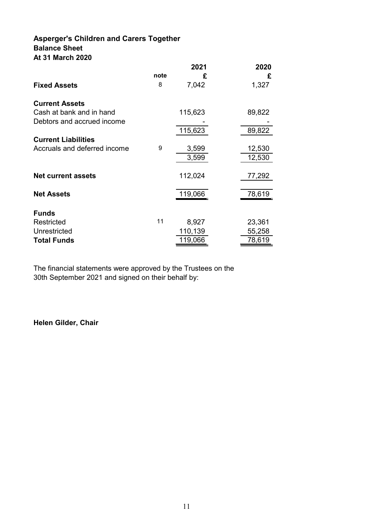### **Asperger's Children and Carers Together Balance Sheet At 31 March 2020**

|                              |      | 2021    | 2020   |
|------------------------------|------|---------|--------|
|                              | note | £       | £      |
| <b>Fixed Assets</b>          | 8    | 7,042   | 1,327  |
| <b>Current Assets</b>        |      |         |        |
| Cash at bank and in hand     |      | 115,623 | 89,822 |
| Debtors and accrued income   |      |         |        |
|                              |      | 115,623 | 89,822 |
| <b>Current Liabilities</b>   |      |         |        |
| Accruals and deferred income | 9    | 3,599   | 12,530 |
|                              |      | 3,599   | 12,530 |
| <b>Net current assets</b>    |      | 112,024 | 77,292 |
| <b>Net Assets</b>            |      | 119,066 | 78,619 |
|                              |      |         |        |
| <b>Funds</b>                 |      |         |        |
| Restricted                   | 11   | 8,927   | 23,361 |
| Unrestricted                 |      | 110,139 | 55,258 |
| <b>Total Funds</b>           |      | 119,066 | 78,619 |

The financial statements were approved by the Trustees on the 30th September 2021 and signed on their behalf by:

**Helen Gilder, Chair**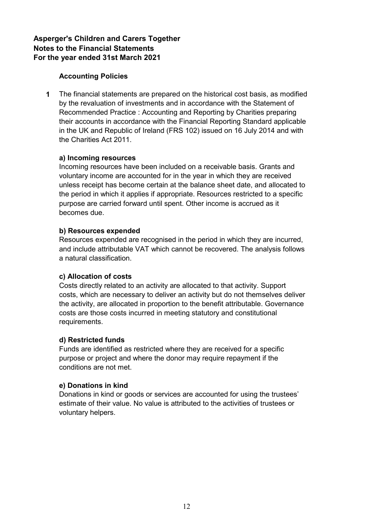# **Accounting Policies**

**1** The financial statements are prepared on the historical cost basis, as modified by the revaluation of investments and in accordance with the Statement of Recommended Practice : Accounting and Reporting by Charities preparing their accounts in accordance with the Financial Reporting Standard applicable in the UK and Republic of Ireland (FRS 102) issued on 16 July 2014 and with the Charities Act 2011.

### **a) Incoming resources**

Incoming resources have been included on a receivable basis. Grants and voluntary income are accounted for in the year in which they are received unless receipt has become certain at the balance sheet date, and allocated to the period in which it applies if appropriate. Resources restricted to a specific purpose are carried forward until spent. Other income is accrued as it becomes due.

### **b) Resources expended**

Resources expended are recognised in the period in which they are incurred, and include attributable VAT which cannot be recovered. The analysis follows a natural classification.

# **c) Allocation of costs**

Costs directly related to an activity are allocated to that activity. Support costs, which are necessary to deliver an activity but do not themselves deliver the activity, are allocated in proportion to the benefit attributable. Governance costs are those costs incurred in meeting statutory and constitutional requirements.

#### **d) Restricted funds**

Funds are identified as restricted where they are received for a specific purpose or project and where the donor may require repayment if the conditions are not met.

#### **e) Donations in kind**

Donations in kind or goods or services are accounted for using the trustees' estimate of their value. No value is attributed to the activities of trustees or voluntary helpers.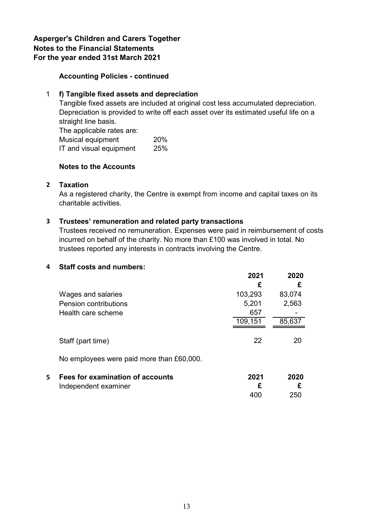### **Accounting Policies - continued**

### 1 **f) Tangible fixed assets and depreciation**

Tangible fixed assets are included at original cost less accumulated depreciation. Depreciation is provided to write off each asset over its estimated useful life on a straight line basis. The applicable rates are: Musical equipment 20% IT and visual equipment 25%

#### **Notes to the Accounts**

#### **2 Taxation**

As a registered charity, the Centre is exempt from income and capital taxes on its charitable activities.

#### **3 Trustees' remuneration and related party transactions**

Trustees received no remuneration. Expenses were paid in reimbursement of costs incurred on behalf of the charity. No more than £100 was involved in total. No trustees reported any interests in contracts involving the Centre.

#### **4 Staff costs and numbers:**

|   |                                           | 2021    | 2020   |
|---|-------------------------------------------|---------|--------|
|   |                                           | £       | £      |
|   | Wages and salaries                        | 103,293 | 83,074 |
|   | <b>Pension contributions</b>              | 5,201   | 2,563  |
|   | Health care scheme                        | 657     |        |
|   |                                           | 109,151 | 85,637 |
|   |                                           |         |        |
|   | Staff (part time)                         | 22      | 20     |
|   | No employees were paid more than £60,000. |         |        |
| 5 | Fees for examination of accounts          | 2021    | 2020   |
|   | Independent examiner                      | £       | £      |
|   |                                           | 400     | 250    |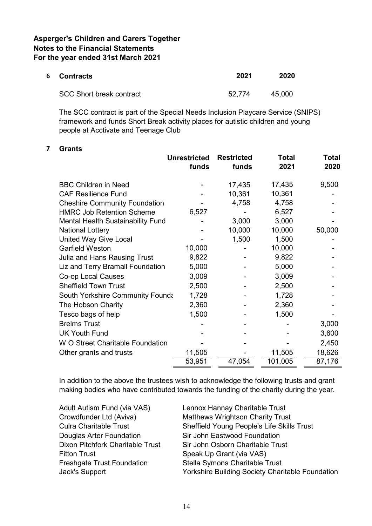| 6 Contracts                     | 2021   | 2020   |
|---------------------------------|--------|--------|
| <b>SCC Short break contract</b> | 52.774 | 45.000 |

The SCC contract is part of the Special Needs Inclusion Playcare Service (SNIPS) framework and funds Short Break activity places for autistic children and young people at Acctivate and Teenage Club

#### **7 Grants**

|                                          | <b>Unrestricted</b><br>funds | <b>Restricted</b><br>funds | Total<br>2021 | Total<br>2020 |
|------------------------------------------|------------------------------|----------------------------|---------------|---------------|
| <b>BBC Children in Need</b>              |                              | 17,435                     | 17,435        | 9,500         |
| <b>CAF Resilience Fund</b>               |                              | 10,361                     | 10,361        |               |
| <b>Cheshire Community Foundation</b>     |                              | 4,758                      | 4,758         |               |
| <b>HMRC Job Retention Scheme</b>         | 6,527                        |                            | 6,527         |               |
| <b>Mental Health Sustainability Fund</b> |                              | 3,000                      | 3,000         |               |
| <b>National Lottery</b>                  |                              | 10,000                     | 10,000        | 50,000        |
| <b>United Way Give Local</b>             |                              | 1,500                      | 1,500         |               |
| <b>Garfield Weston</b>                   | 10,000                       |                            | 10,000        |               |
| <b>Julia and Hans Rausing Trust</b>      | 9,822                        |                            | 9,822         |               |
| Liz and Terry Bramall Foundation         | 5,000                        |                            | 5,000         |               |
| Co-op Local Causes                       | 3,009                        |                            | 3,009         |               |
| <b>Sheffield Town Trust</b>              | 2,500                        |                            | 2,500         |               |
| South Yorkshire Community Founda         | 1,728                        |                            | 1,728         |               |
| The Hobson Charity                       | 2,360                        |                            | 2,360         |               |
| Tesco bags of help                       | 1,500                        |                            | 1,500         |               |
| <b>Brelms Trust</b>                      |                              |                            |               | 3,000         |
| <b>UK Youth Fund</b>                     |                              |                            |               | 3,600         |
| W O Street Charitable Foundation         |                              |                            |               | 2,450         |
| Other grants and trusts                  | 11,505                       |                            | 11,505        | 18,626        |
|                                          | 53,951                       | 47,054                     | 101,005       | 87,176        |

In addition to the above the trustees wish to acknowledge the following trusts and grant making bodies who have contributed towards the funding of the charity during the year.

| Adult Autism Fund (via VAS)       | Lennox Hannay Charitable Trust                   |
|-----------------------------------|--------------------------------------------------|
| Crowdfunder Ltd (Aviva)           | <b>Matthews Wrightson Charity Trust</b>          |
| <b>Culra Charitable Trust</b>     | Sheffield Young People's Life Skills Trust       |
| Douglas Arter Foundation          | Sir John Eastwood Foundation                     |
| Dixon Pitchfork Charitable Trust  | Sir John Osborn Charitable Trust                 |
| <b>Fitton Trust</b>               | Speak Up Grant (via VAS)                         |
| <b>Freshgate Trust Foundation</b> | Stella Symons Charitable Trust                   |
| Jack's Support                    | Yorkshire Building Society Charitable Foundation |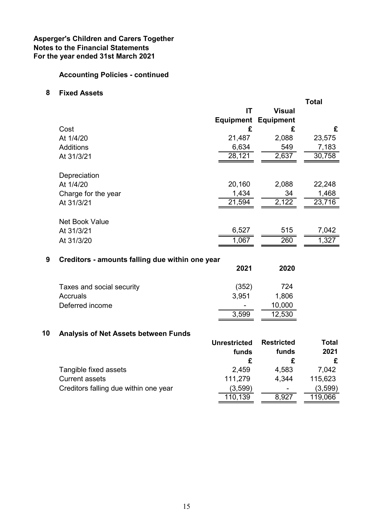# **Accounting Policies - continued**

#### **8 Fixed Assets**

|    |                                                 |                     |                   | <b>Total</b> |
|----|-------------------------------------------------|---------------------|-------------------|--------------|
|    |                                                 | IT                  | <b>Visual</b>     |              |
|    |                                                 | <b>Equipment</b>    | <b>Equipment</b>  |              |
|    | Cost                                            | £                   | £                 | £            |
|    | At 1/4/20                                       | 21,487              | 2,088             | 23,575       |
|    | <b>Additions</b>                                | 6,634               | 549               | 7,183        |
|    | At 31/3/21                                      | 28,121              | 2,637             | 30,758       |
|    | Depreciation                                    |                     |                   |              |
|    | At 1/4/20                                       | 20,160              | 2,088             | 22,248       |
|    | Charge for the year                             | 1,434               | 34                | 1,468        |
|    | At 31/3/21                                      | 21,594              | 2,122             | 23,716       |
|    | <b>Net Book Value</b>                           |                     |                   |              |
|    | At 31/3/21                                      | 6,527               | 515               | 7,042        |
|    | At 31/3/20                                      | 1,067               | 260               | 1,327        |
| 9  | Creditors - amounts falling due within one year |                     |                   |              |
|    |                                                 | 2021                | 2020              |              |
|    | Taxes and social security                       | (352)               | 724               |              |
|    | <b>Accruals</b>                                 | 3,951               | 1,806             |              |
|    | Deferred income                                 |                     | 10,000            |              |
|    |                                                 | 3,599               | 12,530            |              |
| 10 | <b>Analysis of Net Assets between Funds</b>     |                     |                   |              |
|    |                                                 | <b>Unrestricted</b> | <b>Restricted</b> | <b>Total</b> |
|    |                                                 | <b>funds</b>        | funds             | 2021         |

|                                       | funds   | funds                    | 2021    |
|---------------------------------------|---------|--------------------------|---------|
|                                       |         |                          |         |
| Tangible fixed assets                 | 2,459   | 4,583                    | 7.042   |
| <b>Current assets</b>                 | 111.279 | 4.344                    | 115,623 |
| Creditors falling due within one year | (3,599) | $\overline{\phantom{a}}$ | (3,599) |
|                                       | 110,139 | 8,927                    | 119,066 |